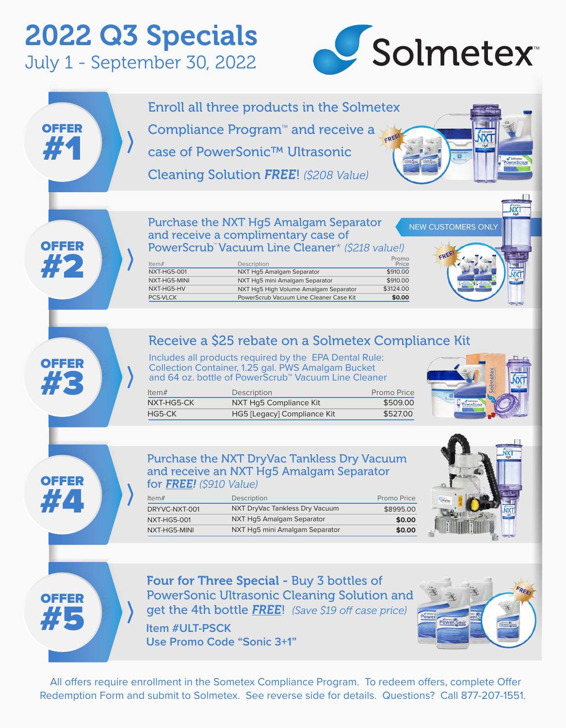# 2022 Q3 Specials July 1 - September 30, 2022



Enroll all three products in the Solmetex Compliance Program™ and receive a OFFER CREE #1 case of PowerSonic™ Ultrasonic Cleaning Solution *FREE*! *(\$208 Value)* **NXT** Purchase the NXT Hg5 Amalgam Separator NEW CUSTOMERS ONLY and receive a complimentary case of OFFER PowerScrub™ Vacuum Line Cleaner\* *(\$218 value!)* #2 Promo Price Item# Description<br>NXT-HG5-001 NXT Hg5 A NXT Hg5 Amalgam Separator \$910.00 NXT-HG5-MINI NXT Hg5 mini Amalgam Separator  $$910.00$ NXT-HG5-HV NXT Hg5 High Volume Amalgam Separator \$3124.00 PCS-VLCK PowerScrub Vacuum Line Cleaner Case Kit **\$0.00** Receive a \$25 rebate on a Solmetex Compliance Kit Includes all products required by the EPA Dental Rule: **OFFER** Collection Container, 1.25 gal. PWS Amalgam Bucket #3 and 64 oz. bottle of PowerScrub™ Vacuum Line Cleaner Item# Description Description Promo Price NXT-HG5-CK NXT Hg5 Compliance Kit \$509.00 HG5-CK HG5 [Legacy] Compliance Kit \$527.00 Purchase the NXT DryVac Tankless Dry Vacuum and receive an NXT Hg5 Amalgam Separator OFFER for *FREE! (\$910 Value)*

| Item $#$      | Description                    | Promo Price |
|---------------|--------------------------------|-------------|
| DRYVC-NXT-001 | NXT DryVac Tankless Dry Vacuum | \$8995.00   |
| NXT-HG5-001   | NXT Hg5 Amalgam Separator      | \$0.00      |
| NXT-HG5-MINI  | NXT Hg5 mini Amalgam Separator | \$0.00      |





#4

Four for Three Special - Buy 3 bottles of PowerSonic Ultrasonic Cleaning Solution and **get the 4th bottle FREE!** *(Save \$19 off case price)* **Item #ULT-PSCK Use Promo Code "Sonic 3+1"**



All offers require enrollment in the Sometex Compliance Program. To redeem offers, complete Offer Redemption Form and submit to Solmetex. See reverse side for details. Questions? Call 877-207-1551.